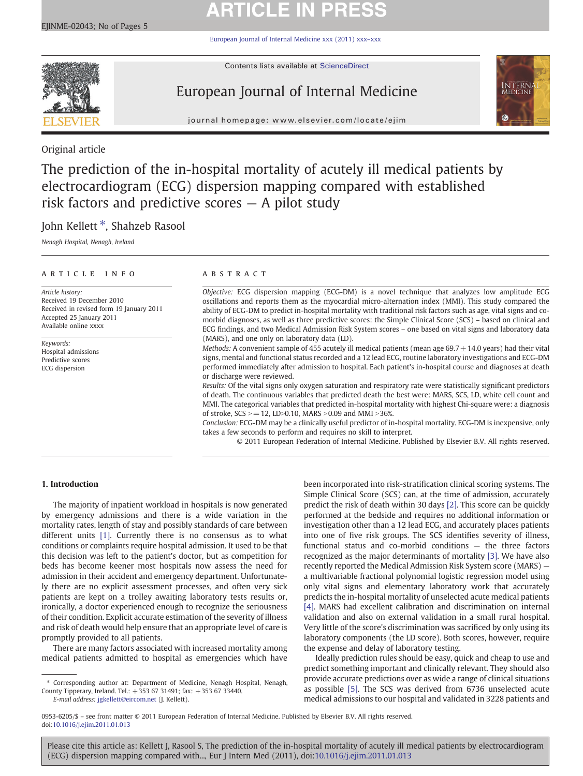# **ARTICLE IN PRES**

[European Journal of Internal Medicine xxx \(2011\) xxx](http://dx.doi.org/10.1016/j.ejim.2011.01.013)–xxx



Contents lists available at ScienceDirect

## European Journal of Internal Medicine



journal homepage: www.elsevier.com/locate/ejim

### Original article

## The prediction of the in-hospital mortality of acutely ill medical patients by electrocardiogram (ECG) dispersion mapping compared with established risk factors and predictive scores — A pilot study

## John Kellett<sup>\*</sup>, Shahzeb Rasool

Nenagh Hospital, Nenagh, Ireland

### article info abstract

Article history: Received 19 December 2010 Received in revised form 19 January 2011 Accepted 25 January 2011 Available online xxxx

Keywords: Hospital admissions Predictive scores ECG dispersion

Objective: ECG dispersion mapping (ECG-DM) is a novel technique that analyzes low amplitude ECG oscillations and reports them as the myocardial micro-alternation index (MMI). This study compared the ability of ECG-DM to predict in-hospital mortality with traditional risk factors such as age, vital signs and comorbid diagnoses, as well as three predictive scores: the Simple Clinical Score (SCS) – based on clinical and ECG findings, and two Medical Admission Risk System scores – one based on vital signs and laboratory data (MARS), and one only on laboratory data (LD).

Methods: A convenient sample of 455 acutely ill medical patients (mean age  $69.7 \pm 14.0$  years) had their vital signs, mental and functional status recorded and a 12 lead ECG, routine laboratory investigations and ECG-DM performed immediately after admission to hospital. Each patient's in-hospital course and diagnoses at death or discharge were reviewed.

Results: Of the vital signs only oxygen saturation and respiratory rate were statistically significant predictors of death. The continuous variables that predicted death the best were: MARS, SCS, LD, white cell count and MMI. The categorical variables that predicted in-hospital mortality with highest Chi-square were: a diagnosis of stroke,  $SCS \ge 12$ , LD $> 0.10$ , MARS  $> 0.09$  and MMI  $> 36\%$ .

Conclusion: ECG-DM may be a clinically useful predictor of in-hospital mortality. ECG-DM is inexpensive, only takes a few seconds to perform and requires no skill to interpret.

© 2011 European Federation of Internal Medicine. Published by Elsevier B.V. All rights reserved.

### 1. Introduction

The majority of inpatient workload in hospitals is now generated by emergency admissions and there is a wide variation in the mortality rates, length of stay and possibly standards of care between different units [\[1\]](#page-3-0). Currently there is no consensus as to what conditions or complaints require hospital admission. It used to be that this decision was left to the patient's doctor, but as competition for beds has become keener most hospitals now assess the need for admission in their accident and emergency department. Unfortunately there are no explicit assessment processes, and often very sick patients are kept on a trolley awaiting laboratory tests results or, ironically, a doctor experienced enough to recognize the seriousness of their condition. Explicit accurate estimation of the severity of illness and risk of death would help ensure that an appropriate level of care is promptly provided to all patients.

There are many factors associated with increased mortality among medical patients admitted to hospital as emergencies which have

E-mail address: [jgkellett@eircom.net](mailto:jgkellett@eircom.net) (J. Kellett).

been incorporated into risk-stratification clinical scoring systems. The Simple Clinical Score (SCS) can, at the time of admission, accurately predict the risk of death within 30 days [\[2\].](#page-3-0) This score can be quickly performed at the bedside and requires no additional information or investigation other than a 12 lead ECG, and accurately places patients into one of five risk groups. The SCS identifies severity of illness, functional status and co-morbid conditions — the three factors recognized as the major determinants of mortality [\[3\]](#page-3-0). We have also recently reported the Medical Admission Risk System score (MARS) a multivariable fractional polynomial logistic regression model using only vital signs and elementary laboratory work that accurately predicts the in-hospital mortality of unselected acute medical patients [\[4\].](#page-3-0) MARS had excellent calibration and discrimination on internal validation and also on external validation in a small rural hospital. Very little of the score's discrimination was sacrificed by only using its laboratory components (the LD score). Both scores, however, require the expense and delay of laboratory testing.

Ideally prediction rules should be easy, quick and cheap to use and predict something important and clinically relevant. They should also provide accurate predictions over as wide a range of clinical situations as possible [\[5\].](#page-3-0) The SCS was derived from 6736 unselected acute medical admissions to our hospital and validated in 3228 patients and

0953-6205/\$ – see front matter © 2011 European Federation of Internal Medicine. Published by Elsevier B.V. All rights reserved. doi:[10.1016/j.ejim.2011.01.013](http://dx.doi.org/10.1016/j.ejim.2011.01.013)

Please cite this article as: Kellett J, Rasool S, The prediction of the in-hospital mortality of acutely ill medical patients by electrocardiogram (ECG) dispersion mapping compared with..., Eur J Intern Med (2011), doi:[10.1016/j.ejim.2011.01.013](http://dx.doi.org/10.1016/j.ejim.2011.01.013)

<sup>⁎</sup> Corresponding author at: Department of Medicine, Nenagh Hospital, Nenagh, County Tipperary, Ireland. Tel.: +353 67 31491; fax: +353 67 33440.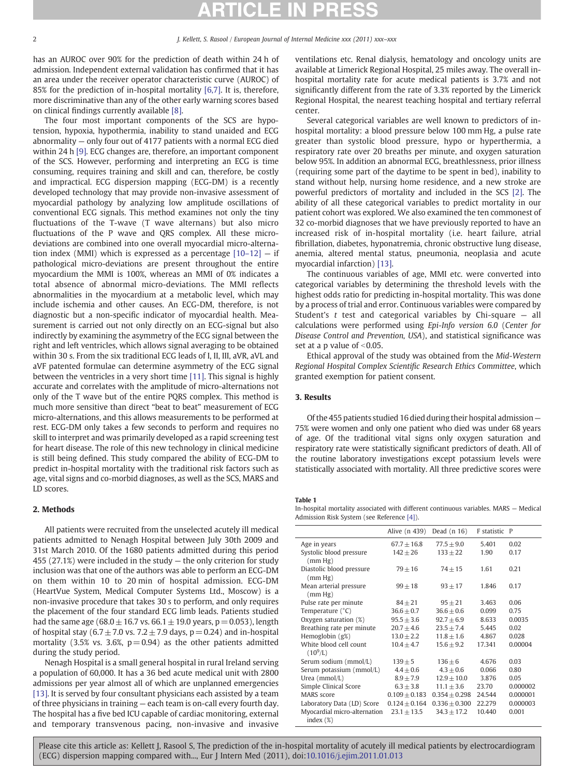<span id="page-1-0"></span>has an AUROC over 90% for the prediction of death within 24 h of admission. Independent external validation has confirmed that it has an area under the receiver operator characteristic curve (AUROC) of 85% for the prediction of in-hospital mortality [\[6,7\]](#page-3-0). It is, therefore, more discriminative than any of the other early warning scores based on clinical findings currently available [\[8\]](#page-3-0).

The four most important components of the SCS are hypotension, hypoxia, hypothermia, inability to stand unaided and ECG abnormality — only four out of 4177 patients with a normal ECG died within 24 h [\[9\]](#page-3-0). ECG changes are, therefore, an important component of the SCS. However, performing and interpreting an ECG is time consuming, requires training and skill and can, therefore, be costly and impractical. ECG dispersion mapping (ECG-DM) is a recently developed technology that may provide non-invasive assessment of myocardial pathology by analyzing low amplitude oscillations of conventional ECG signals. This method examines not only the tiny fluctuations of the T-wave (T wave alternans) but also micro fluctuations of the P wave and QRS complex. All these microdeviations are combined into one overall myocardial micro-alternation index (MMI) which is expressed as a percentage  $[10-12]$  $[10-12]$  - if pathological micro-deviations are present throughout the entire myocardium the MMI is 100%, whereas an MMI of 0% indicates a total absence of abnormal micro-deviations. The MMI reflects abnormalities in the myocardium at a metabolic level, which may include ischemia and other causes. An ECG-DM, therefore, is not diagnostic but a non-specific indicator of myocardial health. Measurement is carried out not only directly on an ECG-signal but also indirectly by examining the asymmetry of the ECG signal between the right and left ventricles, which allows signal averaging to be obtained within 30 s. From the six traditional ECG leads of I, II, III, aVR, aVL and aVF patented formulae can determine asymmetry of the ECG signal between the ventricles in a very short time [\[11\].](#page-4-0) This signal is highly accurate and correlates with the amplitude of micro-alternations not only of the T wave but of the entire PQRS complex. This method is much more sensitive than direct "beat to beat" measurement of ECG micro-alternations, and this allows measurements to be performed at rest. ECG-DM only takes a few seconds to perform and requires no skill to interpret and was primarily developed as a rapid screening test for heart disease. The role of this new technology in clinical medicine is still being defined. This study compared the ability of ECG-DM to predict in-hospital mortality with the traditional risk factors such as age, vital signs and co-morbid diagnoses, as well as the SCS, MARS and LD scores.

### 2. Methods

All patients were recruited from the unselected acutely ill medical patients admitted to Nenagh Hospital between July 30th 2009 and 31st March 2010. Of the 1680 patients admitted during this period 455 (27.1%) were included in the study — the only criterion for study inclusion was that one of the authors was able to perform an ECG-DM on them within 10 to 20 min of hospital admission. ECG-DM (HeartVue System, Medical Computer Systems Ltd., Moscow) is a non-invasive procedure that takes 30 s to perform, and only requires the placement of the four standard ECG limb leads. Patients studied had the same age (68.0  $\pm$  16.7 vs. 66.1  $\pm$  19.0 years, p = 0.053), length of hospital stay (6.7 $\pm$  7.0 vs. 7.2 $\pm$  7.9 days, p = 0.24) and in-hospital mortality (3.5% vs. 3.6%,  $p = 0.94$ ) as the other patients admitted during the study period.

Nenagh Hospital is a small general hospital in rural Ireland serving a population of 60,000. It has a 36 bed acute medical unit with 2800 admissions per year almost all of which are unplanned emergencies [\[13\]](#page-4-0). It is served by four consultant physicians each assisted by a team of three physicians in training — each team is on-call every fourth day. The hospital has a five bed ICU capable of cardiac monitoring, external and temporary transvenous pacing, non-invasive and invasive ventilations etc. Renal dialysis, hematology and oncology units are available at Limerick Regional Hospital, 25 miles away. The overall inhospital mortality rate for acute medical patients is 3.7% and not significantly different from the rate of 3.3% reported by the Limerick Regional Hospital, the nearest teaching hospital and tertiary referral center.

Several categorical variables are well known to predictors of inhospital mortality: a blood pressure below 100 mm Hg, a pulse rate greater than systolic blood pressure, hypo or hyperthermia, a respiratory rate over 20 breaths per minute, and oxygen saturation below 95%. In addition an abnormal ECG, breathlessness, prior illness (requiring some part of the daytime to be spent in bed), inability to stand without help, nursing home residence, and a new stroke are powerful predictors of mortality and included in the SCS [\[2\].](#page-3-0) The ability of all these categorical variables to predict mortality in our patient cohort was explored. We also examined the ten commonest of 32 co-morbid diagnoses that we have previously reported to have an increased risk of in-hospital mortality (i.e. heart failure, atrial fibrillation, diabetes, hyponatremia, chronic obstructive lung disease, anemia, altered mental status, pneumonia, neoplasia and acute myocardial infarction) [\[13\]](#page-4-0).

The continuous variables of age, MMI etc. were converted into categorical variables by determining the threshold levels with the highest odds ratio for predicting in-hospital mortality. This was done by a process of trial and error. Continuous variables were compared by Student's  $t$  test and categorical variables by Chi-square  $-$  all calculations were performed using Epi-Info version 6.0 (Center for Disease Control and Prevention, USA), and statistical significance was set at a p value of  $< 0.05$ .

Ethical approval of the study was obtained from the Mid-Western Regional Hospital Complex Scientific Research Ethics Committee, which granted exemption for patient consent.

### 3. Results

Of the 455 patients studied 16 died during their hospital admission — 75% were women and only one patient who died was under 68 years of age. Of the traditional vital signs only oxygen saturation and respiratory rate were statistically significant predictors of death. All of the routine laboratory investigations except potassium levels were statistically associated with mortality. All three predictive scores were

### Table 1

In-hospital mortality associated with different continuous variables. MARS — Medical Admission Risk System (see Reference [\[4\]](#page-3-0)).

|                                              | Alive (n 439)     | Dead $(n 16)$     | F statistic P |          |
|----------------------------------------------|-------------------|-------------------|---------------|----------|
| Age in years                                 | $67.7 + 16.8$     | $77.5 + 9.0$      | 5.401         | 0.02     |
| Systolic blood pressure<br>(mm Hg)           | $142 \pm 26$      | $133 + 22$        | 1.90          | 0.17     |
| Diastolic blood pressure<br>(mm Hg)          | $79 + 16$         | $74 + 15$         | 1.61          | 0.21     |
| Mean arterial pressure<br>(mm Hg)            | $99 + 18$         | $93 + 17$         | 1.846         | 0.17     |
| Pulse rate per minute                        | $84 + 21$         | $95 + 21$         | 3.463         | 0.06     |
| Temperature $(^{\circ}C)$                    | $36.6 \pm 0.7$    | $36.6 + 0.6$      | 0.099         | 0.75     |
| Oxygen saturation (%)                        | $95.5 + 3.6$      | $92.7 + 6.9$      | 8.633         | 0.0035   |
| Breathing rate per minute                    | $20.7 \pm 4.6$    | $23.5 \pm 7.4$    | 5.445         | 0.02     |
| Hemoglobin (g%)                              | $13.0 \pm 2.2$    | $11.8 \pm 1.6$    | 4.867         | 0.028    |
| White blood cell count<br>$(10^9/L)$         | $10.4 \pm 4.7$    | $15.6 \pm 9.2$    | 17.341        | 0.00004  |
| Serum sodium (mmol/L)                        | $139 + 5$         | $136 + 6$         | 4.676         | 0.03     |
| Serum potassium (mmol/L)                     | $4.4 + 0.6$       | $4.3 + 0.6$       | 0.066         | 0.80     |
| Urea (mmol/L)                                | $8.9 + 7.9$       | $12.9 + 10.0$     | 3.876         | 0.05     |
| Simple Clinical Score                        | $6.3 \pm 3.8$     | $11.1 \pm 3.6$    | 23.70         | 0.000002 |
| <b>MARS</b> score                            | $0.109 \pm 0.183$ | $0.354 \pm 0.298$ | 24.544        | 0.000001 |
| Laboratory Data (LD) Score                   | $0.124 + 0.164$   | $0.336 + 0.300$   | 22.279        | 0.000003 |
| Myocardial micro-alternation<br>index $(\%)$ | $23.1 + 13.5$     | $34.3 + 17.2$     | 10.440        | 0.001    |

Please cite this article as: Kellett J, Rasool S, The prediction of the in-hospital mortality of acutely ill medical patients by electrocardiogram (ECG) dispersion mapping compared with..., Eur J Intern Med (2011), doi:[10.1016/j.ejim.2011.01.013](http://dx.doi.org/10.1016/j.ejim.2011.01.013)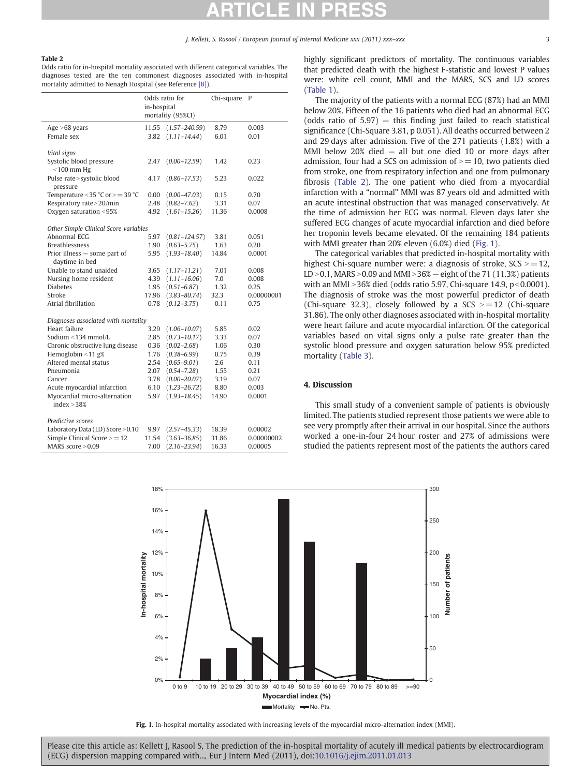### Table 2

Odds ratio for in-hospital mortality associated with different categorical variables. The diagnoses tested are the ten commonest diagnoses associated with in-hospital mortality admitted to Nenagh Hospital (see Reference [\[8\]](#page-3-0)).

|                                                | in-hospital | Odds ratio for<br>mortality (95%CI) | Chi-square | P          |
|------------------------------------------------|-------------|-------------------------------------|------------|------------|
| Age $>68$ years                                | 11.55       | $(1.57 - 240.59)$                   | 8.79       | 0.003      |
| Female sex                                     | 3.82        | $(1.11 - 14.44)$                    | 6.01       | 0.01       |
|                                                |             |                                     |            |            |
| Vital signs                                    |             |                                     |            |            |
| Systolic blood pressure                        | 2.47        | $(0.00 - 12.59)$                    | 1.42       | 0.23       |
| $<$ 100 mm Hg                                  |             |                                     |            |            |
| Pulse rate > systolic blood<br>pressure        | 4.17        | $(0.86 - 17.53)$                    | 5.23       | 0.022      |
| Temperature < 35 $°C$ or > = 39 $°C$           | 0.00        | $(0.00 - 47.03)$                    | 0.15       | 0.70       |
| Respiratory rate>20/min                        | 2.48        | $(0.82 - 7.62)$                     | 3.31       | 0.07       |
| Oxygen saturation <95%                         | 4.92        | $(1.61 - 15.26)$                    | 11.36      | 0.0008     |
|                                                |             |                                     |            |            |
| Other Simple Clinical Score variables          |             |                                     |            |            |
| Abnormal ECG                                   | 5.97        | $(0.81 - 124.57)$                   | 3.81       | 0.051      |
| <b>Breathlessness</b>                          | 1.90        | $(0.63 - 5.75)$                     | 1.63       | 0.20       |
| Prior illness - some part of<br>daytime in bed | 5.95        | $(1.93 - 18.40)$                    | 14.84      | 0.0001     |
| Unable to stand unaided                        | 3.65        | $(1.17 - 11.21)$                    | 7.01       | 0.008      |
| Nursing home resident                          | 4.39        | $(1.11 - 16.06)$                    | 7.0        | 0.008      |
| <b>Diabetes</b>                                | 1.95        | $(0.51 - 6.87)$                     | 1.32       | 0.25       |
| Stroke                                         | 17.96       | $(3.83 - 80.74)$                    | 32.3       | 0.00000001 |
| Atrial fibrillation                            | 0.78        | $(0.12 - 3.75)$                     | 0.11       | 0.75       |
| Diagnoses associated with mortality            |             |                                     |            |            |
| Heart failure                                  | 3.29        | $(1.06 - 10.07)$                    | 5.85       | 0.02       |
| Sodium <134 mmol/L                             | 2.85        | $(0.73 - 10.17)$                    | 3.33       | 0.07       |
| Chronic obstructive lung disease               | 0.36        | $(0.02 - 2.68)$                     | 1.06       | 0.30       |
| Hemoglobin <11 g%                              | 1.76        | $(0.38 - 6.99)$                     | 0.75       | 0.39       |
| Altered mental status                          | 2.54        | $(0.65 - 9.01)$                     | 2.6        | 0.11       |
| Pneumonia                                      | 2.07        | $(0.54 - 7.28)$                     | 1.55       | 0.21       |
| Cancer                                         | 3.78        | $(0.00 - 20.07)$                    | 3.19       | 0.07       |
| Acute myocardial infarction                    | 6.10        | $(1.23 - 26.72)$                    | 8.80       | 0.003      |
| Myocardial micro-alternation                   | 5.97        | $(1.93 - 18.45)$                    | 14.90      | 0.0001     |
| index $>38%$                                   |             |                                     |            |            |
| Predictive scores                              |             |                                     |            |            |
| Laboratory Data (LD) Score > 0.10              | 9.97        | $(2.57 - 45.33)$                    | 18.39      | 0.00002    |
| Simple Clinical Score $>=$ 12                  | 11.54       | $(3.63 - 36.85)$                    | 31.86      | 0.00000002 |
| MARS score $>0.09$                             | 7.00        | $(2.16 - 23.94)$                    | 16.33      | 0.00005    |

highly significant predictors of mortality. The continuous variables that predicted death with the highest F-statistic and lowest P values were: white cell count, MMI and the MARS, SCS and LD scores [\(Table 1](#page-1-0)).

The majority of the patients with a normal ECG (87%) had an MMI below 20%. Fifteen of the 16 patients who died had an abnormal ECG (odds ratio of 5.97) — this finding just failed to reach statistical significance (Chi-Square 3.81, p 0.051). All deaths occurred between 2 and 29 days after admission. Five of the 271 patients (1.8%) with a MMI below 20% died — all but one died 10 or more days after admission, four had a SCS on admission of  $\ge$  = 10, two patients died from stroke, one from respiratory infection and one from pulmonary fibrosis (Table 2). The one patient who died from a myocardial infarction with a "normal" MMI was 87 years old and admitted with an acute intestinal obstruction that was managed conservatively. At the time of admission her ECG was normal. Eleven days later she suffered ECG changes of acute myocardial infarction and died before her troponin levels became elevated. Of the remaining 184 patients with MMI greater than 20% eleven (6.0%) died (Fig. 1).

The categorical variables that predicted in-hospital mortality with highest Chi-square number were: a diagnosis of stroke,  $SCS \geq 12$ ,  $LD > 0.1$ , MARS  $> 0.09$  and MMI  $> 36\%$  — eight of the 71 (11.3%) patients with an MMI  $>$  36% died (odds ratio 5.97, Chi-square 14.9, p $<$  0.0001). The diagnosis of stroke was the most powerful predictor of death (Chi-square 32.3), closely followed by a  $SCS \ge 12$  (Chi-square 31.86). The only other diagnoses associated with in-hospital mortality were heart failure and acute myocardial infarction. Of the categorical variables based on vital signs only a pulse rate greater than the systolic blood pressure and oxygen saturation below 95% predicted mortality [\(Table 3\)](#page-3-0).

### 4. Discussion

This small study of a convenient sample of patients is obviously limited. The patients studied represent those patients we were able to see very promptly after their arrival in our hospital. Since the authors worked a one-in-four 24 hour roster and 27% of admissions were studied the patients represent most of the patients the authors cared



Fig. 1. In-hospital mortality associated with increasing levels of the myocardial micro-alternation index (MMI).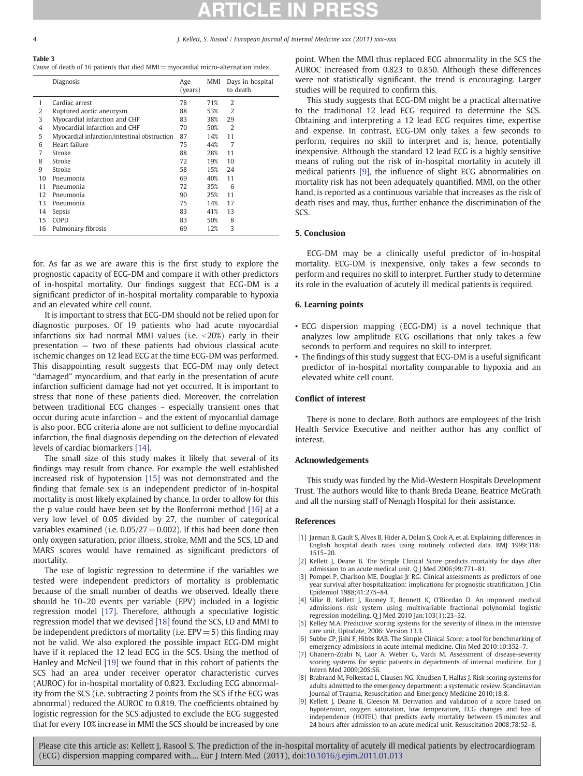<span id="page-3-0"></span>4 J. Kellett, S. Rasool / European Journal of Internal Medicine xxx (2011) xxx–xxx

Table 3

Cause of death of 16 patients that died MMI=myocardial micro-alternation index.

|    | Diagnosis                                    | Age<br>(years) | MMI | Days in hospital<br>to death |
|----|----------------------------------------------|----------------|-----|------------------------------|
| 1  | Cardiac arrest                               | 78             | 71% | 2                            |
| 2  | Ruptured aortic aneurysm                     | 88             | 53% | 2                            |
| 3  | Myocardial infarction and CHF                | 83             | 38% | 29                           |
| 4  | Myocardial infarction and CHF                | 70             | 50% | $\mathcal{L}$                |
| 5  | Myocardial infarction/intestinal obstruction | 87             | 14% | 11                           |
| 6  | Heart failure                                | 75             | 44% | 7                            |
| 7  | Stroke                                       | 88             | 28% | 11                           |
| 8  | Stroke                                       | 72             | 19% | 10                           |
| 9  | Stroke                                       | 58             | 15% | 24                           |
| 10 | Pneumonia                                    | 69             | 40% | 11                           |
| 11 | Pneumonia                                    | 72             | 35% | 6                            |
| 12 | Pneumonia                                    | 90             | 25% | 11                           |
| 13 | Pneumonia                                    | 75             | 14% | 17                           |
| 14 | Sepsis                                       | 83             | 41% | 13                           |
| 15 | COPD                                         | 83             | 50% | 8                            |
| 16 | Pulmonary fibrosis                           | 69             | 12% | 3                            |

for. As far as we are aware this is the first study to explore the prognostic capacity of ECG-DM and compare it with other predictors of in-hospital mortality. Our findings suggest that ECG-DM is a significant predictor of in-hospital mortality comparable to hypoxia and an elevated white cell count.

It is important to stress that ECG-DM should not be relied upon for diagnostic purposes. Of 19 patients who had acute myocardial infarctions six had normal MMI values (i.e.  $<$ 20%) early in their presentation — two of these patients had obvious classical acute ischemic changes on 12 lead ECG at the time ECG-DM was performed. This disappointing result suggests that ECG-DM may only detect "damaged" myocardium, and that early in the presentation of acute infarction sufficient damage had not yet occurred. It is important to stress that none of these patients died. Moreover, the correlation between traditional ECG changes – especially transient ones that occur during acute infarction – and the extent of myocardial damage is also poor. ECG criteria alone are not sufficient to define myocardial infarction, the final diagnosis depending on the detection of elevated levels of cardiac biomarkers [\[14\].](#page-4-0)

The small size of this study makes it likely that several of its findings may result from chance. For example the well established increased risk of hypotension [\[15\]](#page-4-0) was not demonstrated and the finding that female sex is an independent predictor of in-hospital mortality is most likely explained by chance. In order to allow for this the p value could have been set by the Bonferroni method [\[16\]](#page-4-0) at a very low level of 0.05 divided by 27, the number of categorical variables examined (i.e.  $0.05/27 = 0.002$ ). If this had been done then only oxygen saturation, prior illness, stroke, MMI and the SCS, LD and MARS scores would have remained as significant predictors of mortality.

The use of logistic regression to determine if the variables we tested were independent predictors of mortality is problematic because of the small number of deaths we observed. Ideally there should be 10–20 events per variable (EPV) included in a logistic regression model [\[17\].](#page-4-0) Therefore, although a speculative logistic regression model that we devised [\[18\]](#page-4-0) found the SCS, LD and MMI to be independent predictors of mortality (i.e.  $EPV = 5$ ) this finding may not be valid. We also explored the possible impact ECG-DM might have if it replaced the 12 lead ECG in the SCS. Using the method of Hanley and McNeil [\[19\]](#page-4-0) we found that in this cohort of patients the SCS had an area under receiver operator characteristic curves (AUROC) for in-hospital mortality of 0.823. Excluding ECG abnormality from the SCS (i.e. subtracting 2 points from the SCS if the ECG was abnormal) reduced the AUROC to 0.819. The coefficients obtained by logistic regression for the SCS adjusted to exclude the ECG suggested that for every 10% increase in MMI the SCS should be increased by one

point. When the MMI thus replaced ECG abnormality in the SCS the AUROC increased from 0.823 to 0.850. Although these differences were not statistically significant, the trend is encouraging. Larger studies will be required to confirm this.

This study suggests that ECG-DM might be a practical alternative to the traditional 12 lead ECG required to determine the SCS. Obtaining and interpreting a 12 lead ECG requires time, expertise and expense. In contrast, ECG-DM only takes a few seconds to perform, requires no skill to interpret and is, hence, potentially inexpensive. Although the standard 12 lead ECG is a highly sensitive means of ruling out the risk of in-hospital mortality in acutely ill medical patients [9], the influence of slight ECG abnormalities on mortality risk has not been adequately quantified. MMI, on the other hand, is reported as a continuous variable that increases as the risk of death rises and may, thus, further enhance the discrimination of the SCS.

### 5. Conclusion

ECG-DM may be a clinically useful predictor of in-hospital mortality. ECG-DM is inexpensive, only takes a few seconds to perform and requires no skill to interpret. Further study to determine its role in the evaluation of acutely ill medical patients is required.

### 6. Learning points

- ECG dispersion mapping (ECG-DM) is a novel technique that analyzes low amplitude ECG oscillations that only takes a few seconds to perform and requires no skill to interpret.
- The findings of this study suggest that ECG-DM is a useful significant predictor of in-hospital mortality comparable to hypoxia and an elevated white cell count.

### Conflict of interest

There is none to declare. Both authors are employees of the Irish Health Service Executive and neither author has any conflict of interest.

### Acknowledgements

This study was funded by the Mid-Western Hospitals Development Trust. The authors would like to thank Breda Deane, Beatrice McGrath and all the nursing staff of Nenagh Hospital for their assistance.

### References

- [1] Jarman B, Gault S, Alves B, Hider A, Dolan S, Cook A, et al. Explaining differences in English hospital death rates using routinely collected data. BMJ 1999;318: 1515–20.
- [2] Kellett J, Deane B. The Simple Clinical Score predicts mortality for days after admission to an acute medical unit. Q J Med 2006;99:771–81.
- [3] Pompei P, Charlson ME, Douglas Jr RG. Clinical assessments as predictors of one year survival after hospitalization: implications for prognostic stratification. J Clin Epidemiol 1988;41:275–84.
- [4] Silke B, Kellett J, Rooney T, Bennett K, O'Riordan D. An improved medical admissions risk system using multivariable fractional polynomial logistic regression modelling. Q J Med 2010 Jan;103(1):23–32.
- [5] Kelley M.A. Predictive scoring systems for the severity of illness in the intensive care unit. Uptodate, 2006: Version 13.3.
- [6] Subbe CP, Jishi F, Hibbs RAB. The Simple Clinical Score: a tool for benchmarking of emergency admissions in acute internal medicine. Clin Med 2010;10:352–7.
- [7] Ghanern-Zoabi N, Laor A, Weber G, Vardi M. Assessment of disease-severity scoring systems for septic patients in departments of internal medicine. Eur J Intern Med 2009;20S:S6.
- [8] Brabrand M, Folkestad L, Clausen NG, Knudsen T, Hallas J. Risk scoring systems for adults admitted to the emergency department: a systematic review. Scandinavian Journal of Trauma, Resuscitation and Emergency Medicine 2010;18:8.
- [9] Kellett J, Deane B, Gleeson M. Derivation and validation of a score based on hypotension, oxygen saturation, low temperature, ECG changes and loss of independence (HOTEL) that predicts early mortality between 15 minutes and 24 hours after admission to an acute medical unit. Resuscitation 2008;78:52–8.

Please cite this article as: Kellett J, Rasool S, The prediction of the in-hospital mortality of acutely ill medical patients by electrocardiogram (ECG) dispersion mapping compared with..., Eur J Intern Med (2011), doi:[10.1016/j.ejim.2011.01.013](http://dx.doi.org/10.1016/j.ejim.2011.01.013)